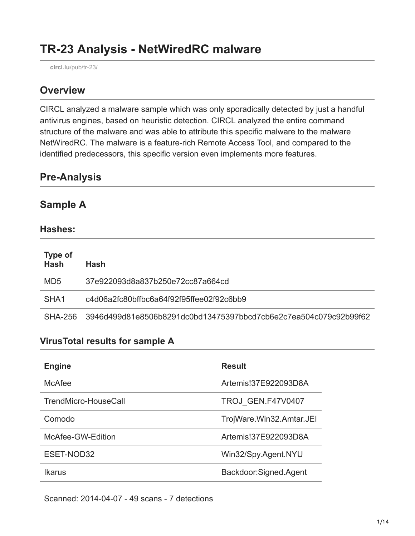# **TR-23 Analysis - NetWiredRC malware**

**circl.lu**[/pub/tr-23/](https://www.circl.lu/pub/tr-23/)

### **Overview**

CIRCL analyzed a malware sample which was only sporadically detected by just a handful antivirus engines, based on heuristic detection. CIRCL analyzed the entire command structure of the malware and was able to attribute this specific malware to the malware NetWiredRC. The malware is a feature-rich Remote Access Tool, and compared to the identified predecessors, this specific version even implements more features.

| <b>Pre-Analysis</b> |  |  |  |
|---------------------|--|--|--|
|                     |  |  |  |
| <b>Sample A</b>     |  |  |  |

#### **Hashes:**

| <b>Type of</b><br><b>Hash</b> | <b>Hash</b>                                                      |
|-------------------------------|------------------------------------------------------------------|
| MD <sub>5</sub>               | 37e922093d8a837b250e72cc87a664cd                                 |
| SHA <sub>1</sub>              | c4d06a2fc80bffbc6a64f92f95ffee02f92c6bb9                         |
| SHA-256                       | 3946d499d81e8506b8291dc0bd13475397bbcd7cb6e2c7ea504c079c92b99f62 |

#### **VirusTotal results for sample A**

| <b>Engine</b>        | <b>Result</b>            |
|----------------------|--------------------------|
| <b>McAfee</b>        | Artemis!37E922093D8A     |
| TrendMicro-HouseCall | TROJ GEN.F47V0407        |
| Comodo               | TrojWare.Win32.Amtar.JEI |
| McAfee-GW-Edition    | Artemis!37E922093D8A     |
| ESET-NOD32           | Win32/Spy.Agent.NYU      |
| Ikarus               | Backdoor:Signed.Agent    |

Scanned: 2014-04-07 - 49 scans - 7 detections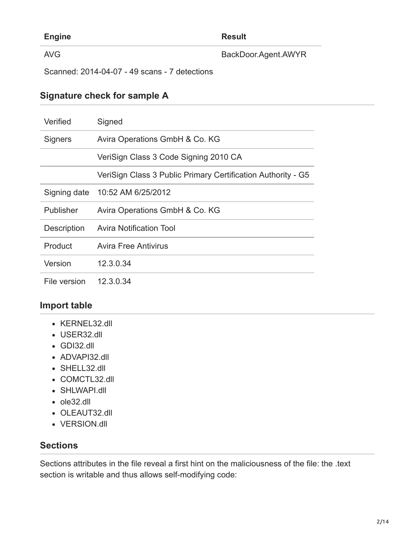| <b>Engine</b>                                 | <b>Result</b>       |
|-----------------------------------------------|---------------------|
| AVG                                           | BackDoor.Agent.AWYR |
| Scanned: 2014-04-07 - 49 scans - 7 detections |                     |

#### **Signature check for sample A**

| Verified           | Signed                                                       |
|--------------------|--------------------------------------------------------------|
| <b>Signers</b>     | Avira Operations GmbH & Co. KG                               |
|                    | VeriSign Class 3 Code Signing 2010 CA                        |
|                    | VeriSign Class 3 Public Primary Certification Authority - G5 |
|                    | Signing date 10:52 AM 6/25/2012                              |
| <b>Publisher</b>   | Avira Operations GmbH & Co. KG                               |
| <b>Description</b> | <b>Avira Notification Tool</b>                               |
| Product            | Avira Free Antivirus                                         |
| Version            | 12.3.0.34                                                    |
| File version       | 12.3.0.34                                                    |

#### **Import table**

- KERNEL32.dll
- USER32.dll
- GDI32.dll
- ADVAPI32.dll
- SHELL32.dll
- COMCTL32.dll
- SHLWAPI.dll
- ole32.dll
- OLEAUT32.dll
- VERSION.dll

### **Sections**

Sections attributes in the file reveal a first hint on the maliciousness of the file: the .text section is writable and thus allows self-modifying code: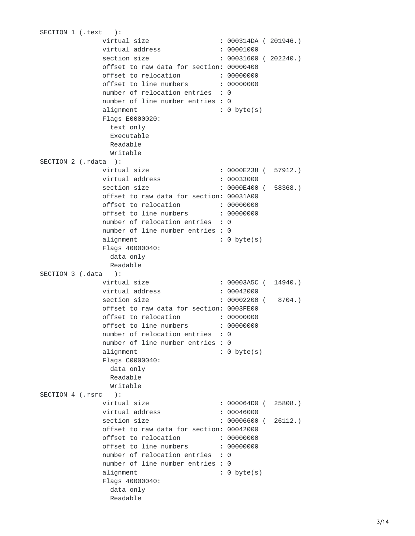SECTION 1 (.text ): virtual siz $\epsilon$ e : 000314DA (201946.) virtual addres: s : 00001000 section siz $\epsilon$ e : 00031600 (202240.) offset to raw data for section: 00000400 offset to relocation : 00000000 offset to line number: s : 00000000 number of relocation entries : 0 number of line number entries : 0 alignmen† t : 0 byte(s) Flags E0000020: text only Executable Readable Writable SECTION 2 (.rdata ): virtual siz $\epsilon$ e : 0000E238 ( 57912.) virtual addres: s : 00033000 section siz $\epsilon$ e : 0000E400 ( 58368.) offset to raw data for section: 00031A00 offset to relocation : 00000000 offset to line number: s : 00000000 number of relocation entries : 0 number of line number entries : 0 alignmen† t : 0 byte(s) Flags 40000040: data only Readable SECTION 3 (.data ): virtual siz $\epsilon$ e : 00003A5C ( 14940.) virtual addres: s : 00042000 section siz $\epsilon$ e : 00002200 ( 8704.) offset to raw data for section: 0003FE00 offset to relocation : 00000000 offset to line number: s : 00000000 number of relocation entries : 0 number of line number entries : 0 alignmen† t : 0 byte(s) Flags C0000040: data only Readable Writable SECTION 4 (.rsrc ): virtual siz $\epsilon$ e : 000064D0 (25808.) virtual addres: s : 00046000 section siz $\epsilon$ e : 00006600 (26112.) offset to raw data for section: 00042000 offset to relocation : 00000000 o f f s e t t o l i n e n u m b e r s : 0 0 0 0 0 0 0 0 number of relocation entries : 0 number of line number entries : 0 alignmen† t : 0 byte(s) Flags 40000040: data only Readable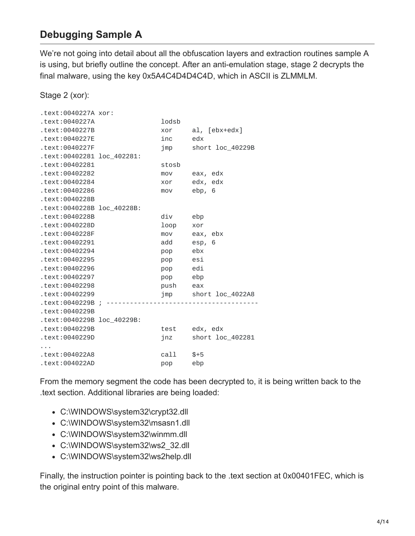## **Debugging Sample A**

We're not going into detail about all the obfuscation layers and extraction routines sample A is using, but briefly outline the concept. After an anti-emulation stage, stage 2 decrypts the final malware, using the key 0x5A4C4D4D4C4D, which in ASCII is ZLMMLM.

Stage 2 (xor):

| .text:0040227A xor:        |          |                      |
|----------------------------|----------|----------------------|
| .text:0040227A             | lodsb    |                      |
| text:0040227B.             | xor      | al, [ebx+edx]        |
| text:0040227E.             | inc      | edx                  |
| .text:0040227F             | jmp      | short loc 40229B     |
| .text:00402281 loc_402281: |          |                      |
| text:00402281.             | stosb    |                      |
| text:00402282.             | mov      | eax, edx             |
| text:00402284.             | xor      | edx, edx             |
| text:00402286.             | mov      | ebp, 6               |
| text:0040228B.             |          |                      |
| .text:0040228B loc 40228B: |          |                      |
| text:0040228B.             | div      | ebp                  |
| text:0040228D.             | loop     | xor                  |
| text:0040228F.             | mov      | eax, ebx             |
| text:00402291.             | add      | esp, 6               |
| .text:00402294             | pop ebx  |                      |
| .text:00402295             | pop esi  |                      |
| text:00402296.             | pop edi  |                      |
| text:00402297.             | pop ebp  |                      |
| text:00402298.             | push eax |                      |
| text:00402299.             |          | jmp short loc_4022A8 |
| text:0040229B ;            |          |                      |
| text:0040229B.             |          |                      |
| .text:0040229B loc 40229B: |          |                      |
| text:0040229B.             |          | test edx, edx        |
| text:0040229D.             | jnz      | short loc_402281     |
|                            |          |                      |
| text:004022A8.             | ca11     | $$+5$                |
| text:004022AD.             | pop      | ebp                  |

From the memory segment the code has been decrypted to, it is being written back to the .text section. Additional libraries are being loaded:

- C:\WINDOWS\system32\crypt32.dll
- C:\WINDOWS\system32\msasn1.dll
- C:\WINDOWS\system32\winmm.dll
- C:\WINDOWS\system32\ws2\_32.dll
- C:\WINDOWS\system32\ws2help.dll

Finally, the instruction pointer is pointing back to the .text section at 0x00401FEC, which is the original entry point of this malware.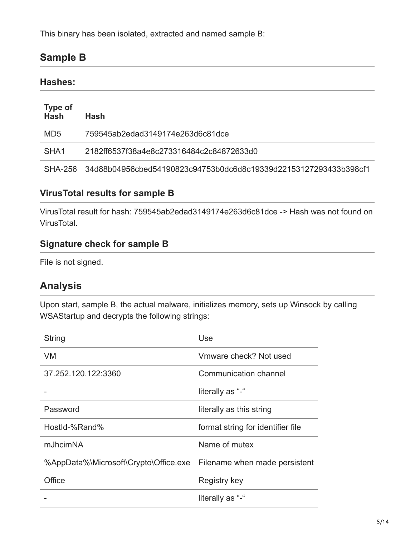This binary has been isolated, extracted and named sample B:

# **Sample B**

### **Hashes:**

| <b>Type of</b><br><b>Hash</b> | <b>Hash</b>                                                              |
|-------------------------------|--------------------------------------------------------------------------|
| MD5                           | 759545ab2edad3149174e263d6c81dce                                         |
| SHA1                          | 2182ff6537f38a4e8c273316484c2c84872633d0                                 |
|                               | SHA-256 34d88b04956cbed54190823c94753b0dc6d8c19339d22153127293433b398cf1 |

### **VirusTotal results for sample B**

VirusTotal result for hash: 759545ab2edad3149174e263d6c81dce -> Hash was not found on VirusTotal.

#### **Signature check for sample B**

File is not signed.

### **Analysis**

Upon start, sample B, the actual malware, initializes memory, sets up Winsock by calling WSAStartup and decrypts the following strings:

| <b>String</b>                                                       | Use                               |
|---------------------------------------------------------------------|-----------------------------------|
| VM                                                                  | Vmware check? Not used            |
| 37.252.120.122.3360                                                 | Communication channel             |
|                                                                     | literally as "-"                  |
| Password                                                            | literally as this string          |
| HostId-%Rand%                                                       | format string for identifier file |
| mJhcimNA                                                            | Name of mutex                     |
| %AppData%\Microsoft\Crypto\Office.exe Filename when made persistent |                                   |
| Office                                                              | Registry key                      |
|                                                                     | literally as "-"                  |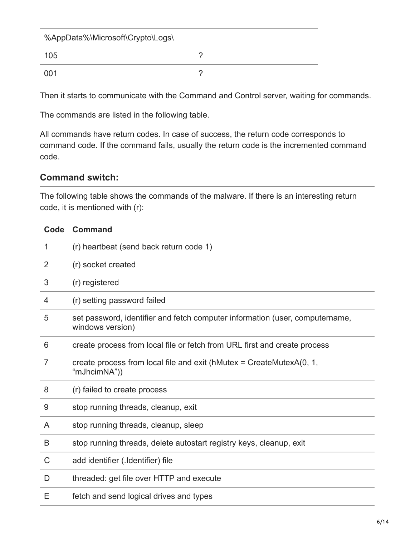| %AppData%\Microsoft\Crypto\Logs\ |  |
|----------------------------------|--|
| 105                              |  |
| -001                             |  |

Then it starts to communicate with the Command and Control server, waiting for commands.

The commands are listed in the following table.

All commands have return codes. In case of success, the return code corresponds to command code. If the command fails, usually the return code is the incremented command code.

#### **Command switch:**

The following table shows the commands of the malware. If there is an interesting return code, it is mentioned with (r):

| 1 | (r) heartbeat (send back return code 1)                                                          |
|---|--------------------------------------------------------------------------------------------------|
| 2 | (r) socket created                                                                               |
| 3 | (r) registered                                                                                   |
| 4 | (r) setting password failed                                                                      |
| 5 | set password, identifier and fetch computer information (user, computername,<br>windows version) |
| 6 | create process from local file or fetch from URL first and create process                        |
| 7 | create process from local file and exit (hMutex = CreateMutex $A(0, 1, 1)$<br>"mJhcimNA"))       |
| 8 | (r) failed to create process                                                                     |
| 9 | stop running threads, cleanup, exit                                                              |
| A | stop running threads, cleanup, sleep                                                             |
| B | stop running threads, delete autostart registry keys, cleanup, exit                              |
| C | add identifier (.Identifier) file                                                                |
| D | threaded: get file over HTTP and execute                                                         |
| Ε | fetch and send logical drives and types                                                          |

#### **Code Command**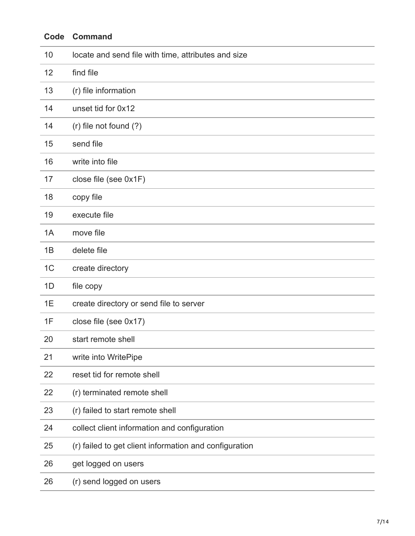| Code           | <b>Command</b>                                         |
|----------------|--------------------------------------------------------|
| 10             | locate and send file with time, attributes and size    |
| 12             | find file                                              |
| 13             | (r) file information                                   |
| 14             | unset tid for 0x12                                     |
| 14             | (r) file not found (?)                                 |
| 15             | send file                                              |
| 16             | write into file                                        |
| 17             | close file (see 0x1F)                                  |
| 18             | copy file                                              |
| 19             | execute file                                           |
| 1A             | move file                                              |
| 1B             | delete file                                            |
| 1 <sup>C</sup> | create directory                                       |
| 1D             | file copy                                              |
| 1E             | create directory or send file to server                |
| 1F             | close file (see 0x17)                                  |
| 20             | start remote shell                                     |
| 21             | write into WritePipe                                   |
| 22             | reset tid for remote shell                             |
| 22             | (r) terminated remote shell                            |
| 23             | (r) failed to start remote shell                       |
| 24             | collect client information and configuration           |
| 25             | (r) failed to get client information and configuration |
| 26             | get logged on users                                    |
| 26             | (r) send logged on users                               |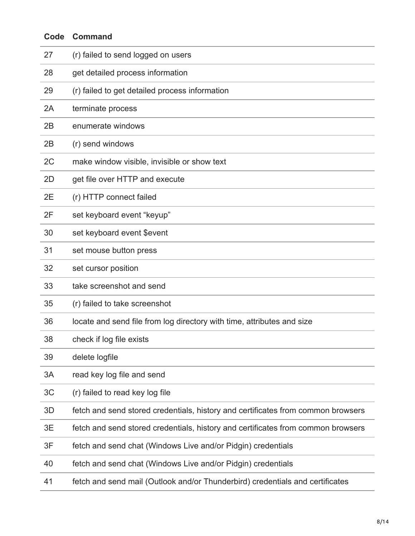| Code | <b>Command</b>                                                                   |
|------|----------------------------------------------------------------------------------|
| 27   | (r) failed to send logged on users                                               |
| 28   | get detailed process information                                                 |
| 29   | (r) failed to get detailed process information                                   |
| 2A   | terminate process                                                                |
| 2B   | enumerate windows                                                                |
| 2B   | (r) send windows                                                                 |
| 2C   | make window visible, invisible or show text                                      |
| 2D   | get file over HTTP and execute                                                   |
| 2E   | (r) HTTP connect failed                                                          |
| 2F   | set keyboard event "keyup"                                                       |
| 30   | set keyboard event \$event                                                       |
| 31   | set mouse button press                                                           |
| 32   | set cursor position                                                              |
| 33   | take screenshot and send                                                         |
| 35   | (r) failed to take screenshot                                                    |
| 36   | locate and send file from log directory with time, attributes and size           |
| 38   | check if log file exists                                                         |
| 39   | delete logfile                                                                   |
| 3A   | read key log file and send                                                       |
| 3C   | (r) failed to read key log file                                                  |
| 3D   | fetch and send stored credentials, history and certificates from common browsers |
| 3E   | fetch and send stored credentials, history and certificates from common browsers |
| 3F   | fetch and send chat (Windows Live and/or Pidgin) credentials                     |
| 40   | fetch and send chat (Windows Live and/or Pidgin) credentials                     |
| 41   | fetch and send mail (Outlook and/or Thunderbird) credentials and certificates    |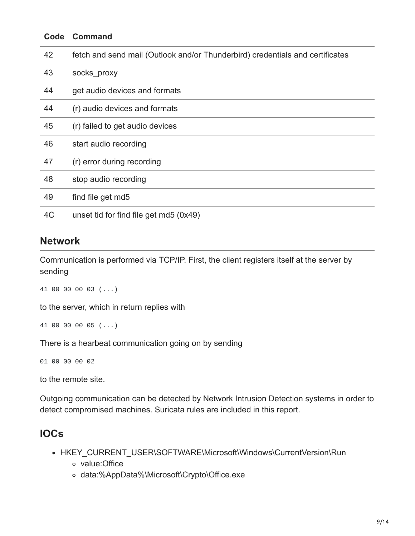| Code | <b>Command</b>                                                                |
|------|-------------------------------------------------------------------------------|
| 42   | fetch and send mail (Outlook and/or Thunderbird) credentials and certificates |
| 43   | socks proxy                                                                   |
| 44   | get audio devices and formats                                                 |
| 44   | (r) audio devices and formats                                                 |
| 45   | (r) failed to get audio devices                                               |
| 46   | start audio recording                                                         |
| 47   | (r) error during recording                                                    |
| 48   | stop audio recording                                                          |
| 49   | find file get md5                                                             |
| 4C   | unset tid for find file get md5 (0x49)                                        |

### **Network**

Communication is performed via TCP/IP. First, the client registers itself at the server by sending

```
41 00 00 00 03 (...)
```
to the server, which in return replies with

```
41 00 00 00 05 (...)
```
There is a hearbeat communication going on by sending

01 00 00 00 02

to the remote site.

Outgoing communication can be detected by Network Intrusion Detection systems in order to detect compromised machines. Suricata rules are included in this report.

## **IOCs**

- HKEY\_CURRENT\_USER\SOFTWARE\Microsoft\Windows\CurrentVersion\Run
	- value:Office
	- data:%AppData%\Microsoft\Crypto\Office.exe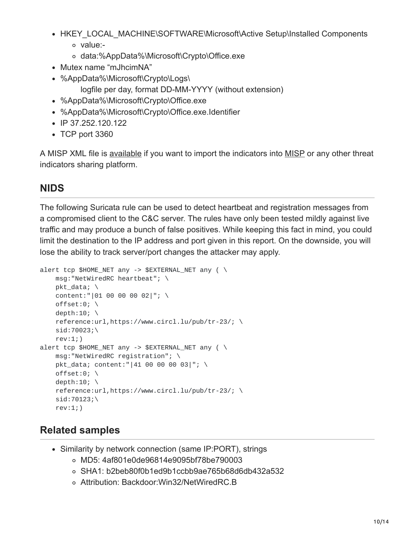- HKEY\_LOCAL\_MACHINE\SOFTWARE\Microsoft\Active Setup\Installed Components value:
	- data:%AppData%\Microsoft\Crypto\Office.exe
- Mutex name "mJhcimNA"
- %AppData%\Microsoft\Crypto\Logs\
	- logfile per day, format DD-MM-YYYY (without extension)
- %AppData%\Microsoft\Crypto\Office.exe
- %AppData%\Microsoft\Crypto\Office.exe.Identifier
- $\cdot$  IP 37.252.120.122
- TCP port 3360

A MISP XML file is [available](https://www.circl.lu/assets/files/misp-circl-tr-23.xml) if you want to import the indicators into [MISP](https://github.com/MISP/) or any other threat indicators sharing platform.

# **NIDS**

The following Suricata rule can be used to detect heartbeat and registration messages from a compromised client to the C&C server. The rules have only been tested mildly against live traffic and may produce a bunch of false positives. While keeping this fact in mind, you could limit the destination to the IP address and port given in this report. On the downside, you will lose the ability to track server/port changes the attacker may apply.

```
alert tcp $HOME</del>I any -> $EXTERNALNET any ( \
    msg:"NetWiredRC heartbeat"; \
    pkt_data; \
    content:"|01 00 00 00 02|"; \
    offset:0; \setminusdepth:10; \setminusreference:url,https://www.circl.lu/pub/tr-23/; \
    sid:70023;\
    rev:1;)
alert tcp $HOME_NET any -> $EXTERNAL_NET any ( \setminusmsg:"NetWiredRC registration"; \
    pkt_data; content:"|41 00 00 00 03|"; \
    offset:0; \setminusdepth:10; \setminusreference:url,https://www.circl.lu/pub/tr-23/; \
    sid:70123; \rev:1;)
```
## **Related samples**

- Similarity by network connection (same IP:PORT), strings
	- MD5: 4af801e0de96814e9095bf78be790003
	- SHA1: b2beb80f0b1ed9b1ccbb9ae765b68d6db432a532
	- Attribution: Backdoor:Win32/NetWiredRC.B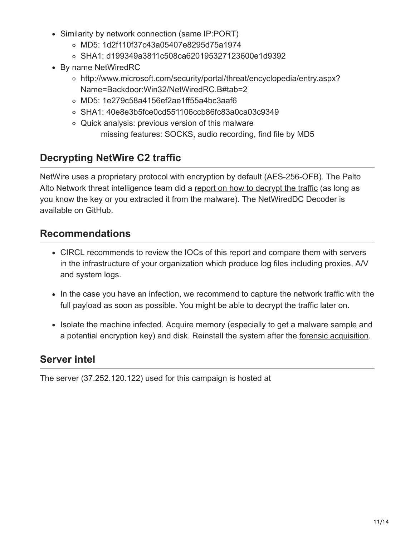- Similarity by network connection (same IP:PORT)
	- MD5: 1d2f110f37c43a05407e8295d75a1974
	- SHA1: d199349a3811c508ca620195327123600e1d9392
- By name NetWiredRC
	- http://www.microsoft.com/security/portal/threat/encyclopedia/entry.aspx? Name=Backdoor:Win32/NetWiredRC.B#tab=2
	- MD5: 1e279c58a4156ef2ae1ff55a4bc3aaf6
	- SHA1: 40e8e3b5fce0cd551106ccb86fc83a0ca03c9349
	- Quick analysis: previous version of this malware missing features: SOCKS, audio recording, find file by MD5

# **Decrypting NetWire C2 traffic**

NetWire uses a proprietary protocol with encryption by default (AES-256-OFB). The Palto Alto Network threat intelligence team did a [report on how to decrypt the traffic](http://researchcenter.paloaltonetworks.com/2014/08/new-release-decrypting-netwire-c2-traffic/) (as long as you know the key or you extracted it from the malware). The NetWiredDC Decoder is [available on GitHub.](https://github.com/pan-unit42/public_tools/tree/master/netwire)

## **Recommendations**

- CIRCL recommends to review the IOCs of this report and compare them with servers in the infrastructure of your organization which produce log files including proxies, A/V and system logs.
- In the case you have an infection, we recommend to capture the network traffic with the full payload as soon as possible. You might be able to decrypt the traffic later on.
- Isolate the machine infected. Acquire memory (especially to get a malware sample and a potential encryption key) and disk. Reinstall the system after the [forensic acquisition.](https://www.circl.lu/pub/tr-22/)

# **Server intel**

The server (37.252.120.122) used for this campaign is hosted at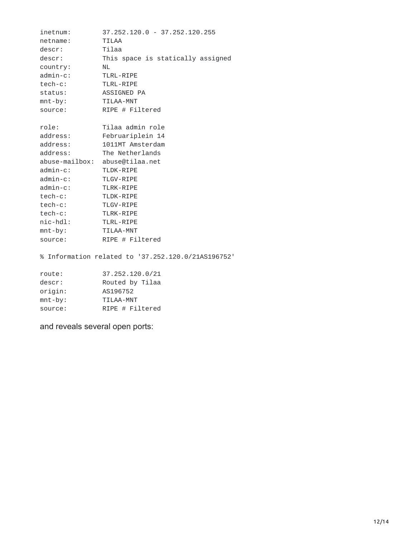| inetnum:        | $37, 252, 120, 0 - 37, 252, 120, 255$ |
|-----------------|---------------------------------------|
| netname:        | <b>TILAA</b>                          |
| descr:          | Tilaa                                 |
| descr:          | This space is statically assigned     |
| country:        | <b>NL</b>                             |
| $admin-c$ :     | TLRL-RIPE                             |
| tech-c:         | TLRL-RIPE                             |
| status:         | ASSIGNED PA                           |
| $mnt-by:$       | TILAA-MNT                             |
| source:         | RIPE $#$ Filtered                     |
|                 |                                       |
| role:           | Tilaa admin role                      |
| address:        | Februariplein 14                      |
| address:        | 1011MT Amsterdam                      |
| address:        | The Netherlands                       |
|                 | abuse-mailbox: abuse@tilaa.net        |
| $admin-c$ :     | TLDK-RIPE                             |
| $admin-c$ :     | TLGV-RIPE                             |
| admin-c:        | TLRK-RIPE                             |
| tech-c:         | TLDK-RIPE                             |
| $tech-c:$       | TLGV-RIPE                             |
| $tech-c:$       | TLRK-RIPE                             |
| $nic$ - $hd1$ : | TLRL-RIPE                             |
| $mnt-by:$       | TILAA-MNT                             |
| source:         | RIPE $#$ Filtered                     |

% Information related to '37.252.120.0/21AS196752'

| 37.252.120.0/21   |
|-------------------|
| Routed by Tilaa   |
| AS196752          |
| TTI AA-MNT        |
| RIPE $#$ Filtered |
|                   |

and reveals several open ports: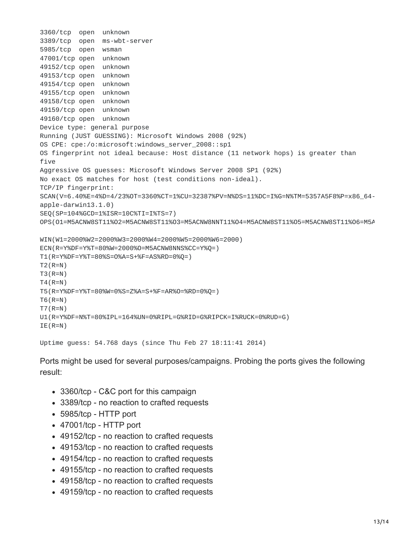```
3360/tcp open unknown
3389/tcp open ms-wbt-server
5985/tcp open wsman
47001/tcp open unknown
49152/tcp open unknown
49153/tcp open unknown
49154/tcp open unknown
49155/tcp open unknown
49158/tcp open unknown
49159/tcp open unknown
49160/tcp open unknown
Device type: general purpose
Running (JUST GUESSING): Microsoft Windows 2008 (92%)
OS CPE: cpe:/o:microsoft:windows_server_2008::sp1
OS fingerprint not ideal because: Host distance (11 network hops) is greater than
five
Aggressive OS guesses: Microsoft Windows Server 2008 SP1 (92%)
No exact OS matches for host (test conditions non-ideal).
TCP/IP fingerprint:
SCAN(V=6.40%E=4%D=4/23%OT=3360%CT=1%CU=32387%PV=N%DS=11%DC=I%G=N%TM=5357A5F8%P=x86_64-
apple-darwin13.1.0)
SEQ(SP=104%GCD=1%ISR=10C%TI=I%TS=7)
OPS(O1=M5ACNW8ST11%O2=M5ACNW8ST11%O3=M5ACNW8NNT11%O4=M5ACNW8ST11%O5=M5ACNW8ST11%O6=M5A
WIN(W1=2000%W2=2000%W3=2000%W4=2000%W5=2000%W6=2000)
ECN(R=Y%DF=Y%T=80%W=2000%O=M5ACNW8NNS%CC=Y%Q=)
T1(R=Y%DF=Y%T=80%S=O%A=S+%F=AS%RD=0%Q=)
T2(R=N)T3(R=N)
T4(R=N)T5(R=Y%DF=Y%T=80%W=0%S=Z%A=S+%F=AR%O=%RD=0%Q=)
T6(R=N)T7(R=N)
U1(R=Y%DF=N%T=80%IPL=164%UN=0%RIPL=G%RID=G%RIPCK=I%RUCK=0%RUD=G)
IE(R=N)
```

```
Uptime guess: 54.768 days (since Thu Feb 27 18:11:41 2014)
```
Ports might be used for several purposes/campaigns. Probing the ports gives the following result:

- 3360/tcp C&C port for this campaign
- 3389/tcp no reaction to crafted requests
- 5985/tcp HTTP port
- 47001/tcp HTTP port
- 49152/tcp no reaction to crafted requests
- 49153/tcp no reaction to crafted requests
- 49154/tcp no reaction to crafted requests
- 49155/tcp no reaction to crafted requests
- 49158/tcp no reaction to crafted requests
- 49159/tcp no reaction to crafted requests